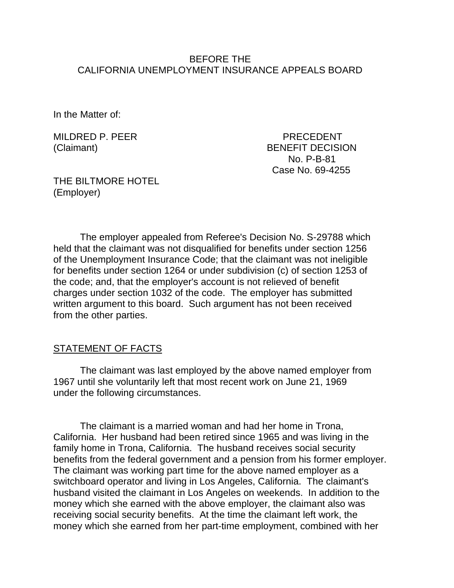#### BEFORE THE CALIFORNIA UNEMPLOYMENT INSURANCE APPEALS BOARD

In the Matter of:

MILDRED P. PEER PRECEDENT

(Claimant) BENEFIT DECISION No. P-B-81 Case No. 69-4255

THE BILTMORE HOTEL (Employer)

The employer appealed from Referee's Decision No. S-29788 which held that the claimant was not disqualified for benefits under section 1256 of the Unemployment Insurance Code; that the claimant was not ineligible for benefits under section 1264 or under subdivision (c) of section 1253 of the code; and, that the employer's account is not relieved of benefit charges under section 1032 of the code. The employer has submitted written argument to this board. Such argument has not been received from the other parties.

### STATEMENT OF FACTS

The claimant was last employed by the above named employer from 1967 until she voluntarily left that most recent work on June 21, 1969 under the following circumstances.

The claimant is a married woman and had her home in Trona, California. Her husband had been retired since 1965 and was living in the family home in Trona, California. The husband receives social security benefits from the federal government and a pension from his former employer. The claimant was working part time for the above named employer as a switchboard operator and living in Los Angeles, California. The claimant's husband visited the claimant in Los Angeles on weekends. In addition to the money which she earned with the above employer, the claimant also was receiving social security benefits. At the time the claimant left work, the money which she earned from her part-time employment, combined with her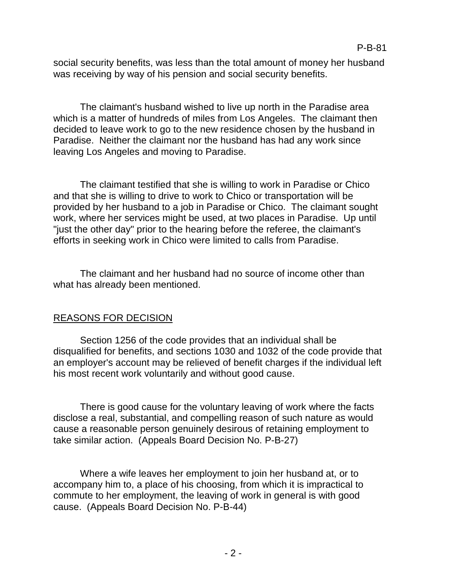social security benefits, was less than the total amount of money her husband was receiving by way of his pension and social security benefits.

The claimant's husband wished to live up north in the Paradise area which is a matter of hundreds of miles from Los Angeles. The claimant then decided to leave work to go to the new residence chosen by the husband in Paradise. Neither the claimant nor the husband has had any work since leaving Los Angeles and moving to Paradise.

The claimant testified that she is willing to work in Paradise or Chico and that she is willing to drive to work to Chico or transportation will be provided by her husband to a job in Paradise or Chico. The claimant sought work, where her services might be used, at two places in Paradise. Up until "just the other day" prior to the hearing before the referee, the claimant's efforts in seeking work in Chico were limited to calls from Paradise.

The claimant and her husband had no source of income other than what has already been mentioned.

# REASONS FOR DECISION

Section 1256 of the code provides that an individual shall be disqualified for benefits, and sections 1030 and 1032 of the code provide that an employer's account may be relieved of benefit charges if the individual left his most recent work voluntarily and without good cause.

There is good cause for the voluntary leaving of work where the facts disclose a real, substantial, and compelling reason of such nature as would cause a reasonable person genuinely desirous of retaining employment to take similar action. (Appeals Board Decision No. P-B-27)

Where a wife leaves her employment to join her husband at, or to accompany him to, a place of his choosing, from which it is impractical to commute to her employment, the leaving of work in general is with good cause. (Appeals Board Decision No. P-B-44)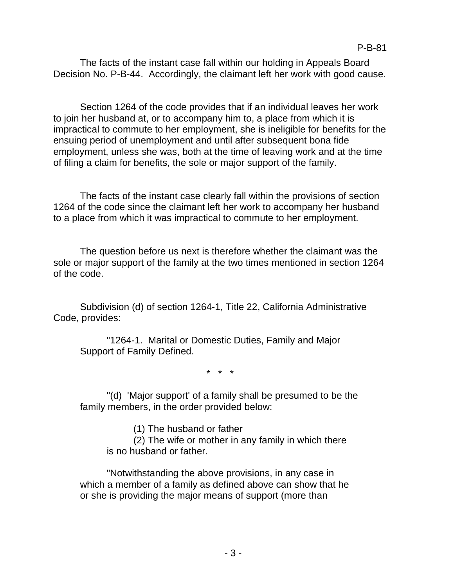The facts of the instant case fall within our holding in Appeals Board Decision No. P-B-44. Accordingly, the claimant left her work with good cause.

Section 1264 of the code provides that if an individual leaves her work to join her husband at, or to accompany him to, a place from which it is impractical to commute to her employment, she is ineligible for benefits for the ensuing period of unemployment and until after subsequent bona fide employment, unless she was, both at the time of leaving work and at the time of filing a claim for benefits, the sole or major support of the family.

The facts of the instant case clearly fall within the provisions of section 1264 of the code since the claimant left her work to accompany her husband to a place from which it was impractical to commute to her employment.

The question before us next is therefore whether the claimant was the sole or major support of the family at the two times mentioned in section 1264 of the code.

Subdivision (d) of section 1264-1, Title 22, California Administrative Code, provides:

"1264-1. Marital or Domestic Duties, Family and Major Support of Family Defined.

\* \* \*

"(d) 'Major support' of a family shall be presumed to be the family members, in the order provided below:

(1) The husband or father

(2) The wife or mother in any family in which there is no husband or father.

"Notwithstanding the above provisions, in any case in which a member of a family as defined above can show that he or she is providing the major means of support (more than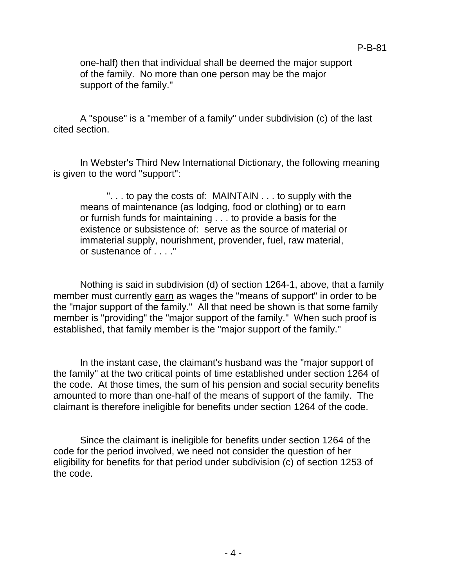P-B-81

A "spouse" is a "member of a family" under subdivision (c) of the last cited section.

In Webster's Third New International Dictionary, the following meaning is given to the word "support":

". . . to pay the costs of: MAINTAIN . . . to supply with the means of maintenance (as lodging, food or clothing) or to earn or furnish funds for maintaining . . . to provide a basis for the existence or subsistence of: serve as the source of material or immaterial supply, nourishment, provender, fuel, raw material, or sustenance of . . . ."

Nothing is said in subdivision (d) of section 1264-1, above, that a family member must currently earn as wages the "means of support" in order to be the "major support of the family." All that need be shown is that some family member is "providing" the "major support of the family." When such proof is established, that family member is the "major support of the family."

In the instant case, the claimant's husband was the "major support of the family" at the two critical points of time established under section 1264 of the code. At those times, the sum of his pension and social security benefits amounted to more than one-half of the means of support of the family. The claimant is therefore ineligible for benefits under section 1264 of the code.

Since the claimant is ineligible for benefits under section 1264 of the code for the period involved, we need not consider the question of her eligibility for benefits for that period under subdivision (c) of section 1253 of the code.